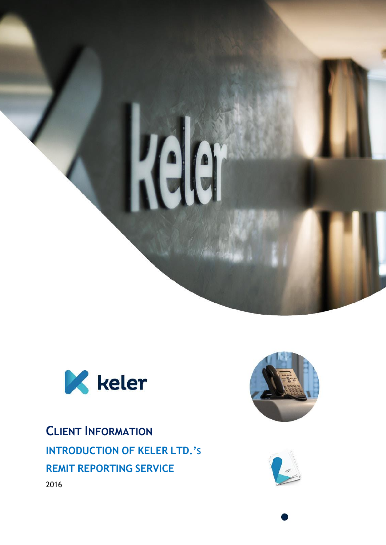



**CLIENT INFORMATION INTRODUCTION OF KELER LTD.'S REMIT REPORTING SERVICE** 2016



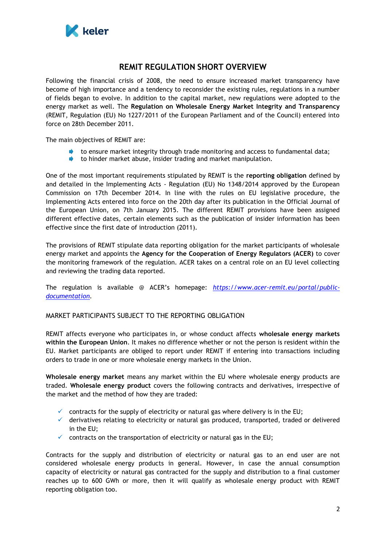

# **REMIT REGULATION SHORT OVERVIEW**

Following the financial crisis of 2008, the need to ensure increased market transparency have become of high importance and a tendency to reconsider the existing rules, regulations in a number of fields began to evolve. In addition to the capital market, new regulations were adopted to the energy market as well. The **Regulation on Wholesale Energy Market Integrity and Transparency** (REMIT, Regulation (EU) No 1227/2011 of the European Parliament and of the Council) entered into force on 28th December 2011.

The main objectives of REMIT are:

- to ensure market integrity through trade monitoring and access to fundamental data;
- to hinder market abuse, insider trading and market manipulation.

One of the most important requirements stipulated by REMIT is the **reporting obligation** defined by and detailed in the Implementing Acts - Regulation (EU) No 1348/2014 approved by the European Commission on 17th December 2014. In line with the rules on EU legislative procedure, the Implementing Acts entered into force on the 20th day after its publication in the Official Journal of the European Union, on 7th January 2015. The different REMIT provisions have been assigned different effective dates, certain elements such as the publication of insider information has been effective since the first date of introduction (2011).

The provisions of REMIT stipulate data reporting obligation for the market participants of wholesale energy market and appoints the **Agency for the Cooperation of Energy Regulators (ACER)** to cover the monitoring framework of the regulation. ACER takes on a central role on an EU level collecting and reviewing the trading data reported.

The regulation is available @ ACER's homepage: *[https://www.acer-remit.eu/portal/public](https://www.acer-remit.eu/portal/public-documentation)[documentation.](https://www.acer-remit.eu/portal/public-documentation)*

# MARKET PARTICIPANTS SUBJECT TO THE REPORTING OBLIGATION

REMIT affects everyone who participates in, or whose conduct affects **wholesale energy markets within the European Union**. It makes no difference whether or not the person is resident within the EU. Market participants are obliged to report under REMIT if entering into transactions including orders to trade in one or more wholesale energy markets in the Union.

**Wholesale energy market** means any market within the EU where wholesale energy products are traded. **Wholesale energy product** covers the following contracts and derivatives, irrespective of the market and the method of how they are traded:

- $\checkmark$  contracts for the supply of electricity or natural gas where delivery is in the EU;
- $\checkmark$  derivatives relating to electricity or natural gas produced, transported, traded or delivered in the EU;
- $\checkmark$  contracts on the transportation of electricity or natural gas in the EU;

Contracts for the supply and distribution of electricity or natural gas to an end user are not considered wholesale energy products in general. However, in case the annual consumption capacity of electricity or natural gas contracted for the supply and distribution to a final customer reaches up to 600 GWh or more, then it will qualify as wholesale energy product with REMIT reporting obligation too.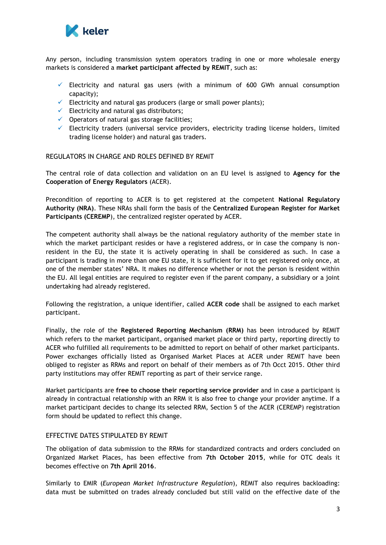

Any person, including transmission system operators trading in one or more wholesale energy markets is considered a **market participant affected by REMIT**, such as:

- $\checkmark$  Electricity and natural gas users (with a minimum of 600 GWh annual consumption capacity);
- Electricity and natural gas producers (large or small power plants);
- $\checkmark$  Electricity and natural gas distributors;
- $\checkmark$  Operators of natural gas storage facilities;
- $\checkmark$  Electricity traders (universal service providers, electricity trading license holders, limited trading license holder) and natural gas traders.

#### REGULATORS IN CHARGE AND ROLES DEFINED BY REMIT

The central role of data collection and validation on an EU level is assigned to **Agency for the Cooperation of Energy Regulators** (ACER).

Precondition of reporting to ACER is to get registered at the competent **National Regulatory Authority (NRA)**. These NRAs shall form the basis of the **Centralized European Register for Market Participants (CEREMP**), the centralized register operated by ACER.

The competent authority shall always be the national regulatory authority of the member state in which the market participant resides or have a registered address, or in case the company is nonresident in the EU, the state it is actively operating in shall be considered as such. In case a participant is trading in more than one EU state, it is sufficient for it to get registered only once, at one of the member states' NRA. It makes no difference whether or not the person is resident within the EU. All legal entities are required to register even if the parent company, a subsidiary or a joint undertaking had already registered.

Following the registration, a unique identifier, called **ACER code** shall be assigned to each market participant.

Finally, the role of the **Registered Reporting Mechanism (RRM)** has been introduced by REMIT which refers to the market participant, organised market place or third party, reporting directly to ACER who fulfilled all requirements to be admitted to report on behalf of other market participants. Power exchanges officially listed as Organised Market Places at ACER under REMIT have been obliged to register as RRMs and report on behalf of their members as of 7th Occt 2015. Other third party institutions may offer REMIT reporting as part of their service range.

Market participants are **free to choose their reporting service provider** and in case a participant is already in contractual relationship with an RRM it is also free to change your provider anytime. If a market participant decides to change its selected RRM, Section 5 of the ACER (CEREMP) registration form should be updated to reflect this change.

## EFFECTIVE DATES STIPULATED BY REMIT

The obligation of data submission to the RRMs for standardized contracts and orders concluded on Organized Market Places, has been effective from **7th October 2015**, while for OTC deals it becomes effective on **7th April 2016**.

Similarly to EMIR (*European Market Infrastructure Regulation*), REMIT also requires backloading: data must be submitted on trades already concluded but still valid on the effective date of the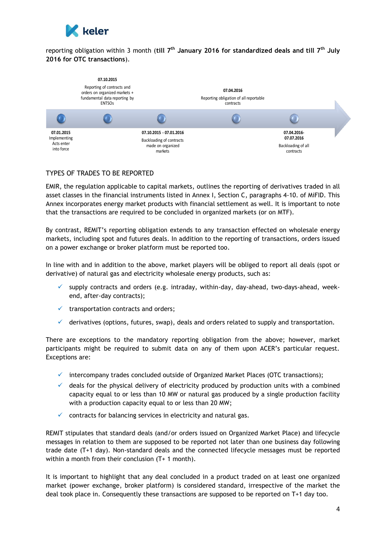

reporting obligation within 3 month (**till 7th January 2016 for standardized deals and till 7th July 2016 for OTC transactions**).



# TYPES OF TRADES TO BE REPORTED

EMIR, the regulation applicable to capital markets, outlines the reporting of derivatives traded in all asset classes in the financial instruments listed in Annex I, Section C, paragraphs 4-10. of MiFID. This Annex incorporates energy market products with financial settlement as well. It is important to note that the transactions are required to be concluded in organized markets (or on MTF).

By contrast, REMIT's reporting obligation extends to any transaction effected on wholesale energy markets, including spot and futures deals. In addition to the reporting of transactions, orders issued on a power exchange or broker platform must be reported too.

In line with and in addition to the above, market players will be obliged to report all deals (spot or derivative) of natural gas and electricity wholesale energy products, such as:

- supply contracts and orders (e.g. intraday, within-day, day-ahead, two-days-ahead, weekend, after-day contracts);
- $\checkmark$  transportation contracts and orders;
- $\checkmark$  derivatives (options, futures, swap), deals and orders related to supply and transportation.

There are exceptions to the mandatory reporting obligation from the above; however, market participants might be required to submit data on any of them upon ACER's particular request. Exceptions are:

- $\checkmark$  intercompany trades concluded outside of Organized Market Places (OTC transactions);
- $\checkmark$  deals for the physical delivery of electricity produced by production units with a combined capacity equal to or less than 10 MW or natural gas produced by a single production facility with a production capacity equal to or less than 20 MW;
- $\checkmark$  contracts for balancing services in electricity and natural gas.

REMIT stipulates that standard deals (and/or orders issued on Organized Market Place) and lifecycle messages in relation to them are supposed to be reported not later than one business day following trade date (T+1 day). Non-standard deals and the connected lifecycle messages must be reported within a month from their conclusion (T+ 1 month).

It is important to highlight that any deal concluded in a product traded on at least one organized market (power exchange, broker platform) is considered standard, irrespective of the market the deal took place in. Consequently these transactions are supposed to be reported on T+1 day too.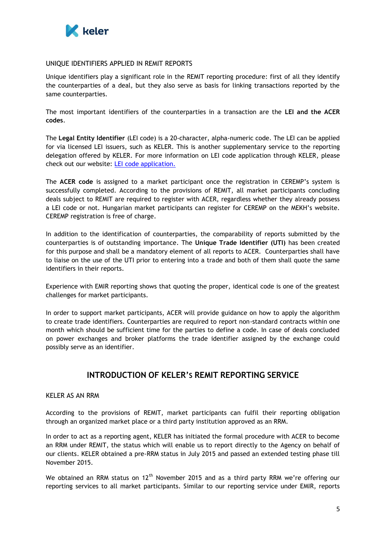

#### UNIQUE IDENTIFIERS APPLIED IN REMIT REPORTS

Unique identifiers play a significant role in the REMIT reporting procedure: first of all they identify the counterparties of a deal, but they also serve as basis for linking transactions reported by the same counterparties.

The most important identifiers of the counterparties in a transaction are the **LEI and the ACER codes**.

The **Legal Entity Identifier** (LEI code) is a 20-character, alpha-numeric code. The LEI can be applied for via licensed LEI issuers, such as KELER. This is another supplementary service to the reporting delegation offered by KELER. For more information on LEI code application through KELER, please check out our website: [LEI code application.](https://english.keler.hu/Services/Numbering%20Agency/LEI%20code/)

The **ACER code** is assigned to a market participant once the registration in CEREMP's system is successfully completed. According to the provisions of REMIT, all market participants concluding deals subject to REMIT are required to register with ACER, regardless whether they already possess a LEI code or not. Hungarian market participants can register for CEREMP on the MEKH's website. CEREMP registration is free of charge.

In addition to the identification of counterparties, the comparability of reports submitted by the counterparties is of outstanding importance. The **Unique Trade Identifier (UTI)** has been created for this purpose and shall be a mandatory element of all reports to ACER. Counterparties shall have to liaise on the use of the UTI prior to entering into a trade and both of them shall quote the same identifiers in their reports.

Experience with EMIR reporting shows that quoting the proper, identical code is one of the greatest challenges for market participants.

In order to support market participants, ACER will provide guidance on how to apply the algorithm to create trade identifiers. Counterparties are required to report non-standard contracts within one month which should be sufficient time for the parties to define a code. In case of deals concluded on power exchanges and broker platforms the trade identifier assigned by the exchange could possibly serve as an identifier.

# **INTRODUCTION OF KELER'S REMIT REPORTING SERVICE**

#### KELER AS AN RRM

According to the provisions of REMIT, market participants can fulfil their reporting obligation through an organized market place or a third party institution approved as an RRM.

In order to act as a reporting agent, KELER has initiated the formal procedure with ACER to become an RRM under REMIT, the status which will enable us to report directly to the Agency on behalf of our clients. KELER obtained a pre-RRM status in July 2015 and passed an extended testing phase till November 2015.

We obtained an RRM status on  $12<sup>th</sup>$  November 2015 and as a third party RRM we're offering our reporting services to all market participants. Similar to our reporting service under EMIR, reports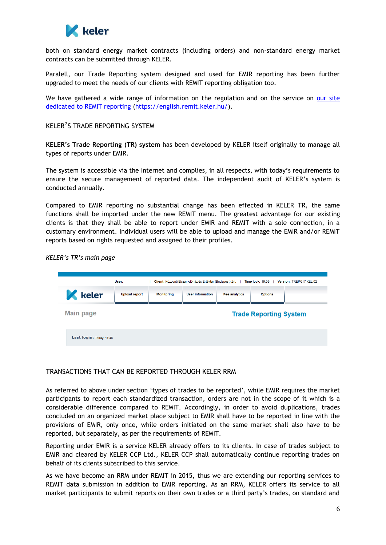

both on standard energy market contracts (including orders) and non-standard energy market contracts can be submitted through KELER.

Paralell, our Trade Reporting system designed and used for EMIR reporting has been further upgraded to meet the needs of our clients with REMIT reporting obligation too.

We have gathered a wide range of information on the regulation and on the service on our site [dedicated to REMIT reporting](https://english.remit.keler.hu/) [\(https://english.remit.keler.hu/\)](https://english.remit.keler.hu/).

### KELER'S TRADE REPORTING SYSTEM

**KELER's Trade Reporting (TR) system** has been developed by KELER itself originally to manage all types of reports under EMIR.

The system is accessible via the Internet and complies, in all respects, with today's requirements to ensure the secure management of reported data. The independent audit of KELER's system is conducted annually.

Compared to EMIR reporting no substantial change has been effected in KELER TR, the same functions shall be imported under the new REMIT menu. The greatest advantage for our existing clients is that they shall be able to report under EMIR and REMIT with a sole connection, in a customary environment. Individual users will be able to upload and manage the EMIR and/or REMIT reports based on rights requested and assigned to their profiles.

*KELER's TR's main page*

|                          | Client: Központi Elszámolóház és Értéktár (Budapest) Zrt.<br>User:<br>Version: TREP.017.KEL.02<br><b>Time lock: 19:59</b> |                   |                         |                      |                               |  |
|--------------------------|---------------------------------------------------------------------------------------------------------------------------|-------------------|-------------------------|----------------------|-------------------------------|--|
| keler                    | <b>Upload report</b>                                                                                                      | <b>Monitoring</b> | <b>User information</b> | <b>Fee analytics</b> | <b>Options</b>                |  |
| <b>Main page</b>         |                                                                                                                           |                   |                         |                      | <b>Trade Reporting System</b> |  |
| Last login: Today, 11:48 |                                                                                                                           |                   |                         |                      |                               |  |

# TRANSACTIONS THAT CAN BE REPORTED THROUGH KELER RRM

As referred to above under section 'types of trades to be reported', while EMIR requires the market participants to report each standardized transaction, orders are not in the scope of it which is a considerable difference compared to REMIT. Accordingly, in order to avoid duplications, trades concluded on an organized market place subject to EMIR shall have to be reported in line with the provisions of EMIR, only once, while orders initiated on the same market shall also have to be reported, but separately, as per the requirements of REMIT.

Reporting under EMIR is a service KELER already offers to its clients. In case of trades subject to EMIR and cleared by KELER CCP Ltd., KELER CCP shall automatically continue reporting trades on behalf of its clients subscribed to this service.

As we have become an RRM under REMIT in 2015, thus we are extending our reporting services to REMIT data submission in addition to EMIR reporting. As an RRM, KELER offers its service to all market participants to submit reports on their own trades or a third party's trades, on standard and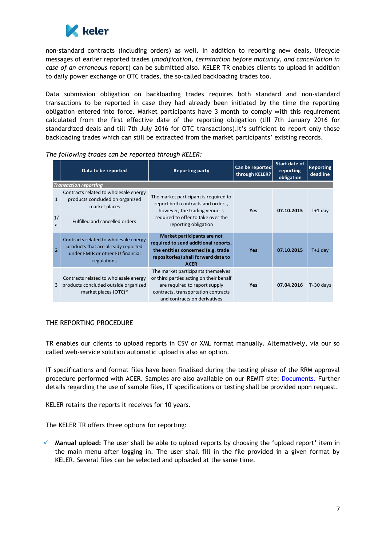

non-standard contracts (including orders) as well. In addition to reporting new deals, lifecycle messages of earlier reported trades (*modification, termination before maturity, and cancellation in case of an erroneous report*) can be submitted also. KELER TR enables clients to upload in addition to daily power exchange or OTC trades, the so-called backloading trades too.

Data submission obligation on backloading trades requires both standard and non-standard transactions to be reported in case they had already been initiated by the time the reporting obligation entered into force. Market participants have 3 month to comply with this requirement calculated from the first effective date of the reporting obligation (till 7th January 2016 for standardized deals and till 7th July 2016 for OTC transactions).It's sufficient to report only those backloading trades which can still be extracted from the market participants' existing records.

| Data to be reported                                                                                                                              | <b>Reporting party</b>                                                                                                                                                                | Can be reported<br>through KELER? | Start date of<br>reporting<br>obligation | <b>Reporting</b><br>deadline |
|--------------------------------------------------------------------------------------------------------------------------------------------------|---------------------------------------------------------------------------------------------------------------------------------------------------------------------------------------|-----------------------------------|------------------------------------------|------------------------------|
| <b>Transaction reporting</b>                                                                                                                     |                                                                                                                                                                                       |                                   |                                          |                              |
| Contracts related to wholesale energy<br>products concluded on organized<br>$\mathbf{1}$<br>market places                                        | The market participant is required to<br>report both contracts and orders,                                                                                                            |                                   |                                          |                              |
| 1/<br><b>Fulfilled and cancelled orders</b><br>a                                                                                                 | however, the trading venue is<br>required to offer to take over the<br>reporting obligation                                                                                           | Yes                               | 07.10.2015                               | $T+1$ day                    |
| Contracts related to wholesale energy<br>products that are already reported<br>$\overline{2}$<br>under EMIR or other EU financial<br>regulations | Market participants are not<br>required to send additional reports,<br>the entities concerned (e.g. trade<br>repositories) shall forward data to<br><b>ACER</b>                       | <b>Yes</b>                        | 07.10.2015                               | $T+1$ day                    |
| Contracts related to wholesale energy<br>products concluded outside organized<br>3<br>market places (OTC)*                                       | The market participants themselves<br>or third parties acting on their behalf<br>are required to report supply<br>contracts, transportation contracts<br>and contracts on derivatives | Yes                               | 07.04.2016                               | $T+30$ days                  |

*The following trades can be reported through KELER:* 

### THE REPORTING PROCEDURE

TR enables our clients to upload reports in CSV or XML format manually. Alternatively, via our so called web-service solution automatic upload is also an option.

IT specifications and format files have been finalised during the testing phase of the RRM approval procedure performed with ACER. Samples are also available on our REMIT site: [Documents.](https://english.remit.keler.hu/Documents/) Further details regarding the use of sample files, IT specifications or testing shall be provided upon request.

KELER retains the reports it receives for 10 years.

The KELER TR offers three options for reporting:

 **Manual upload:** The user shall be able to upload reports by choosing the 'upload report' item in the main menu after logging in. The user shall fill in the file provided in a given format by KELER. Several files can be selected and uploaded at the same time.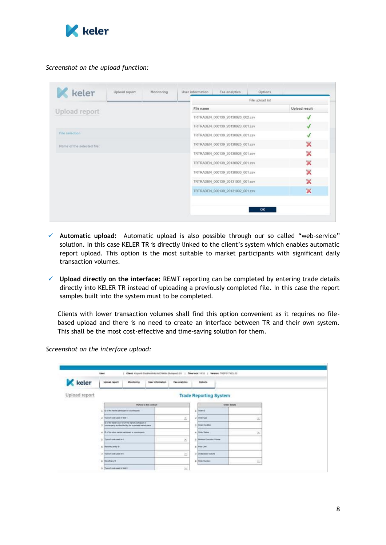

## *Screenshot on the upload function:*

|                            |           |  |  | File upload list                 |  |   |  |
|----------------------------|-----------|--|--|----------------------------------|--|---|--|
| Upload report              | File name |  |  | Upload result                    |  |   |  |
|                            |           |  |  | TRTRADEN_000139_20130920_002.csv |  |   |  |
| File selection             |           |  |  | TRTRADEN_000139_20130923_001.csv |  |   |  |
|                            |           |  |  | TRTRADEN_000139_20130924_001.csv |  |   |  |
| Name of the selected file: |           |  |  | TRTRADEN 000139 20130925 001.csv |  | × |  |
|                            |           |  |  | TRTRADEN_000139_20130926_001.csv |  | × |  |
|                            |           |  |  | TRTRADEN_000139_20130927_001.csv |  | × |  |
|                            |           |  |  | TRTRADEN_000139_20130930_001.csv |  | × |  |
|                            |           |  |  | TRTRADEN_000139_20131001_001.csv |  |   |  |
|                            |           |  |  | TRTRADEN_000139_20131002_001.csv |  | × |  |

- **Automatic upload:** Automatic upload is also possible through our so called "web-service" solution. In this case KELER TR is directly linked to the client's system which enables automatic report upload. This option is the most suitable to market participants with significant daily transaction volumes.
- **Upload directly on the interface:** REMIT reporting can be completed by entering trade details directly into KELER TR instead of uploading a previously completed file. In this case the report samples built into the system must to be completed.

Clients with lower transaction volumes shall find this option convenient as it requires no filebased upload and there is no need to create an interface between TR and their own system. This shall be the most cost-effective and time-saving solution for them.

**K** keler Fee analytics Montanng User Information Options Upload report **Trade Reporting System** m t ie in **CONTRACTOR**  $\frac{1}{2}$ × .<br>Film trader and I or of the menet pe<br>whereaft as absorbed by the organiz .<br>Na East .<br>Sar Shaka  $\overline{1}$ **CONTRACTOR**  $\sim$  $\overline{z}$ **COLORADO** a Can or of colourant is a  $\Xi$ **National Violet** .<br>History O  $\overline{\phantom{a}}$ **Stand at based at crisis**  $\left\lfloor a \right\rfloor$ 

*Screenshot on the interface upload:*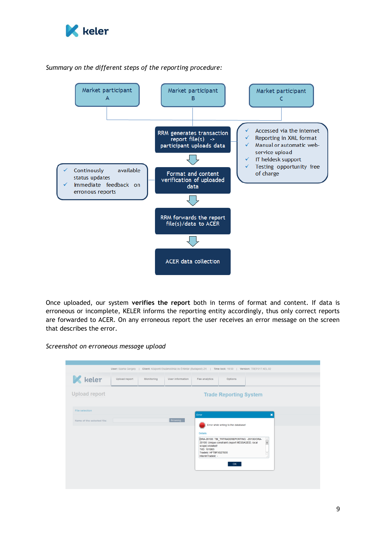

## *Summary on the different steps of the reporting procedure:*



Once uploaded, our system **verifies the report** both in terms of format and content. If data is erroneous or incomplete, KELER informs the reporting entity accordingly, thus only correct reports are forwarded to ACER. On any erroneous report the user receives an error message on the screen that describes the error.

*Screenshot on erroneous message upload*

|                            | User: Szarka Gergely |            |                         |                                                                                            | Client: Központi Elszámolóház és Értéktár (Budapest) Zrt.   Time lock: 19:50   Version: TREP.017.KEL.02                                         |                                                                                                                                                                                                                         |  |
|----------------------------|----------------------|------------|-------------------------|--------------------------------------------------------------------------------------------|-------------------------------------------------------------------------------------------------------------------------------------------------|-------------------------------------------------------------------------------------------------------------------------------------------------------------------------------------------------------------------------|--|
| keler                      | <b>Upload report</b> | Monitoring | <b>User information</b> | Fee analytics                                                                              | Options                                                                                                                                         |                                                                                                                                                                                                                         |  |
| <b>Upload report</b>       |                      |            |                         |                                                                                            | <b>Trade Reporting System</b>                                                                                                                   |                                                                                                                                                                                                                         |  |
| <b>File selection</b>      |                      |            |                         | Error                                                                                      |                                                                                                                                                 | $\boldsymbol{\mathsf{x}}$                                                                                                                                                                                               |  |
| Name of the selected file: |                      |            | Browsing                | Details:<br>scope) violated!<br>TrlD: 101983<br>Tradeld: HFTBFXS27835<br>InterimTradeld: - | Error while writing to the database!<br>ORA-20100: TBI TRTRADEREPORTING: -20100/ORA-<br>20100: Unique constraint (report MESSAGEID, local<br>OK | $\begin{tabular}{ c c } \hline \quad \quad & \quad \quad & \quad \quad \\ \hline \quad \quad & \quad \quad & \quad \quad \\ \hline \quad \quad & \quad \quad & \quad \quad \\ \hline \end{tabular}$<br>$\checkmark$<br> |  |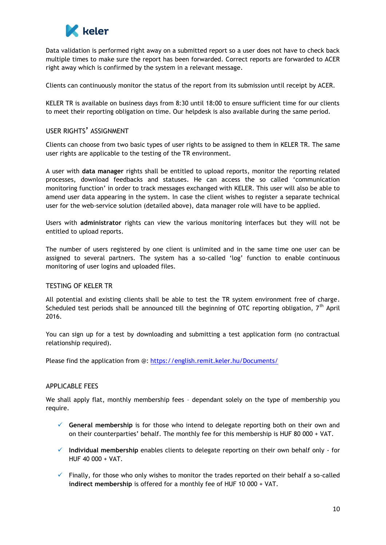

Data validation is performed right away on a submitted report so a user does not have to check back multiple times to make sure the report has been forwarded. Correct reports are forwarded to ACER right away which is confirmed by the system in a relevant message.

Clients can continuously monitor the status of the report from its submission until receipt by ACER.

KELER TR is available on business days from 8:30 until 18:00 to ensure sufficient time for our clients to meet their reporting obligation on time. Our helpdesk is also available during the same period.

#### USER RIGHTS' ASSIGNMENT

Clients can choose from two basic types of user rights to be assigned to them in KELER TR. The same user rights are applicable to the testing of the TR environment.

A user with **data manager** rights shall be entitled to upload reports, monitor the reporting related processes, download feedbacks and statuses. He can access the so called 'communication monitoring function' in order to track messages exchanged with KELER. This user will also be able to amend user data appearing in the system. In case the client wishes to register a separate technical user for the web-service solution (detailed above), data manager role will have to be applied.

Users with **administrator** rights can view the various monitoring interfaces but they will not be entitled to upload reports.

The number of users registered by one client is unlimited and in the same time one user can be assigned to several partners. The system has a so-called 'log' function to enable continuous monitoring of user logins and uploaded files.

### TESTING OF KELER TR

All potential and existing clients shall be able to test the TR system environment free of charge. Scheduled test periods shall be announced till the beginning of OTC reporting obligation,  $7<sup>th</sup>$  April 2016.

You can sign up for a test by downloading and submitting a test application form (no contractual relationship required).

Please find the application from @: <https://english.remit.keler.hu/Documents/>

#### APPLICABLE FEES

We shall apply flat, monthly membership fees - dependant solely on the type of membership you require.

- **General membership** is for those who intend to delegate reporting both on their own and on their counterparties' behalf. The monthly fee for this membership is HUF 80 000 + VAT.
- **Individual membership** enables clients to delegate reporting on their own behalf only for HUF 40 000 + VAT.
- $\checkmark$  Finally, for those who only wishes to monitor the trades reported on their behalf a so-called **indirect membership** is offered for a monthly fee of HUF 10 000 + VAT.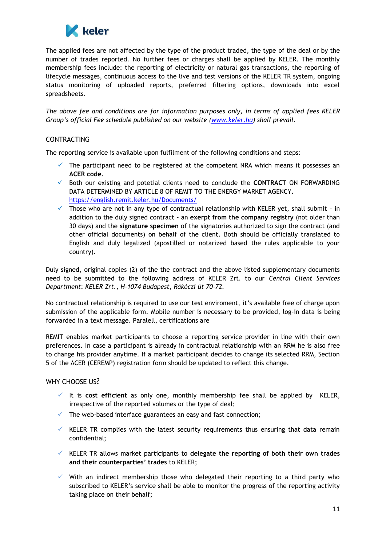

The applied fees are not affected by the type of the product traded, the type of the deal or by the number of trades reported. No further fees or charges shall be applied by KELER. The monthly membership fees include: the reporting of electricity or natural gas transactions, the reporting of lifecycle messages, continuous access to the live and test versions of the KELER TR system, ongoing status monitoring of uploaded reports, preferred filtering options, downloads into excel spreadsheets.

*The above fee and conditions are for information purposes only, in terms of applied fees KELER Group's official Fee schedule published on our website [\(www.keler.hu\)](http://www.keler.hu/) shall prevail.*

## CONTRACTING

The reporting service is available upon fulfilment of the following conditions and steps:

- $\checkmark$  The participant need to be registered at the competent NRA which means it possesses an **ACER code**.
- Both our existing and potetial clients need to conclude the **CONTRACT** ON FORWARDING DATA DETERMINED BY ARTICLE 8 OF REMIT TO THE ENERGY MARKET AGENCY. <https://english.remit.keler.hu/Documents/>
- Those who are not in any type of contractual relationship with KELER yet, shall submit in addition to the duly signed contract - an **exerpt from the company registry** (not older than 30 days) and the **signature specimen** of the signatories authorized to sign the contract (and other official documents) on behalf of the client. Both should be officially translated to English and duly legalized (apostilled or notarized based the rules applicable to your country).

Duly signed, original copies (2) of the the contract and the above listed supplementary documents need to be submitted to the following address of KELER Zrt. to our *Central Client Services Department*: *KELER Zrt., H-1074 Budapest, Rákóczi út 70-72.*

No contractual relationship is required to use our test enviroment, it's available free of charge upon submission of the applicable form. Mobile number is necessary to be provided, log-in data is being forwarded in a text message. Paralell, certifications are

REMIT enables market participants to choose a reporting service provider in line with their own preferences. In case a participant is already in contractual relationship with an RRM he is also free to change his provider anytime. If a market participant decides to change its selected RRM, Section 5 of the ACER (CEREMP) registration form should be updated to reflect this change.

# WHY CHOOSE US?

- $\checkmark$  It is cost efficient as only one, monthly membership fee shall be applied by KELER, irrespective of the reported volumes or the type of deal;
- $\checkmark$  The web-based interface guarantees an easy and fast connection;
- $\checkmark$  KELER TR complies with the latest security requirements thus ensuring that data remain confidential;
- KELER TR allows market participants to **delegate the reporting of both their own trades and their counterparties' trades** to KELER;
- $\checkmark$  With an indirect membership those who delegated their reporting to a third party who subscribed to KELER's service shall be able to monitor the progress of the reporting activity taking place on their behalf;